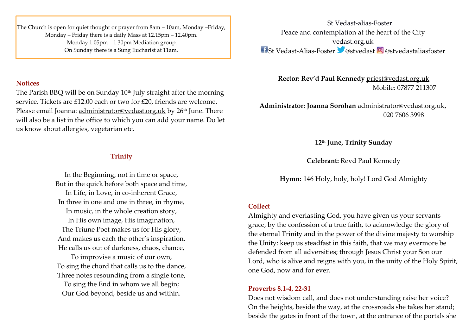The Church is open for quiet thought or prayer from 8am – 10am, Monday –Friday, Monday – Friday there is a daily Mass at 12.15pm – 12.40pm. Monday 1.05pm – 1.30pm Mediation group. On Sunday there is a Sung Eucharist at 11am.

### **Notices**

The Parish BBQ will be on Sunday  $10<sup>th</sup>$  July straight after the morning service. Tickets are £12.00 each or two for £20, friends are welcome. Please email Joanna: [administrator@vedast.org.uk](mailto:administrator@vedast.org.uk) by 26<sup>th</sup> June. There will also be a list in the office to which you can add your name. Do let us know about allergies, vegetarian etc.

# **Trinity**

In the Beginning, not in time or space, But in the quick before both space and time, In Life, in Love, in co-inherent Grace, In three in one and one in three, in rhyme, In music, in the whole creation story, In His own image, His imagination, The Triune Poet makes us for His glory, And makes us each the other's inspiration. He calls us out of darkness, chaos, chance, To improvise a music of our own, To sing the chord that calls us to the dance, Three notes resounding from a single tone,

To sing the End in whom we all begin; Our God beyond, beside us and within.

St Vedast-alias-Foster Peace and contemplation at the heart of the City vedast.org.uk  $\bigcap_{i=1}^n S_i$  Vedast-Alias-Foster  $\bigcup_{i=1}^n \mathbb{Q}$  @stvedastaliasfoster

**Rector: Rev'd Paul Kennedy** [priest@vedast.org.uk](mailto:priest@vedast.org.uk) Mobile: 07877 211307

**Administrator: Joanna Sorohan** [administrator@vedast.org.uk,](mailto:administrator@vedast.org.uk) 020 7606 3998

**12 th June, Trinity Sunday**

**Celebrant:** Revd Paul Kennedy

**Hymn:** 146 Holy, holy, holy! Lord God Almighty

## **Collect**

Almighty and everlasting God, you have given us your servants grace, by the confession of a true faith, to acknowledge the glory of the eternal Trinity and in the power of the divine majesty to worship the Unity: keep us steadfast in this faith, that we may evermore be defended from all adversities; through Jesus Christ your Son our Lord, who is alive and reigns with you, in the unity of the Holy Spirit, one God, now and for ever.

## **Proverbs 8.1-4, 22-31**

Does not wisdom call, and does not understanding raise her voice? On the heights, beside the way, at the crossroads she takes her stand; beside the gates in front of the town, at the entrance of the portals she